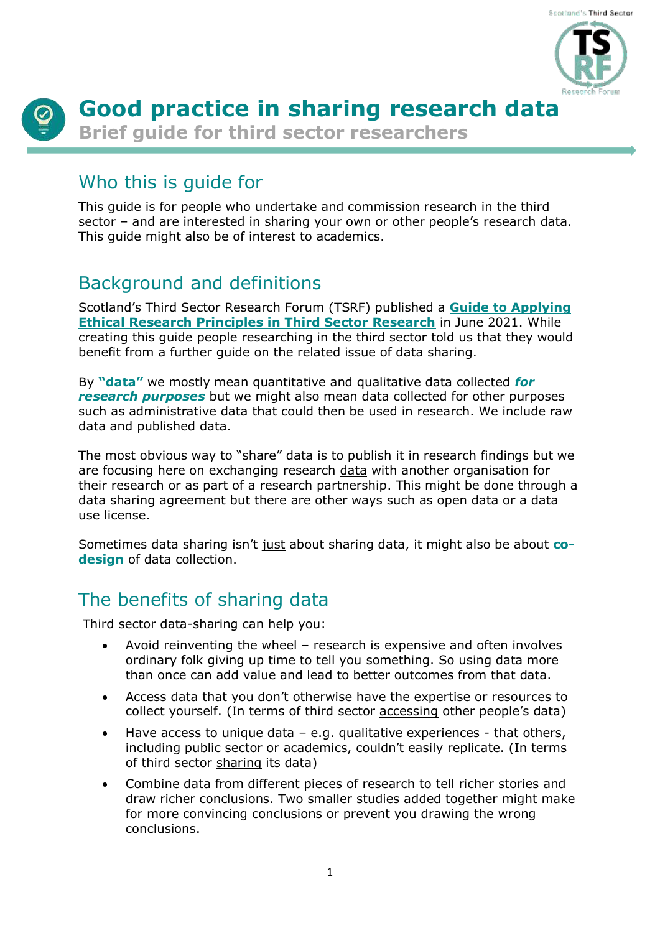

# **Good practice in sharing research data**

**Brief guide for third sector researchers**

## Who this is guide for

This guide is for people who undertake and commission research in the third sector – and are interested in sharing your own or other people's research data. This guide might also be of interest to academics.

# Background and definitions

Scotland's Third Sector Research Forum (TSRF) published a **[Guide to Applying](https://evaluationsupportscotland.org.uk/resources/tsrf-guide-to-applying-ethical-principles/)  [Ethical Research Principles in Third Sector Research](https://evaluationsupportscotland.org.uk/resources/tsrf-guide-to-applying-ethical-principles/)** in June 2021. While creating this guide people researching in the third sector told us that they would benefit from a further guide on the related issue of data sharing.

By **"data"** we mostly mean quantitative and qualitative data collected *for research purposes* but we might also mean data collected for other purposes such as administrative data that could then be used in research. We include raw data and published data.

The most obvious way to "share" data is to publish it in research findings but we are focusing here on exchanging research data with another organisation for their research or as part of a research partnership. This might be done through a data sharing agreement but there are other ways such as open data or a data use license.

Sometimes data sharing isn't just about sharing data, it might also be about **codesign** of data collection.

# The benefits of sharing data

Third sector data-sharing can help you:

- Avoid reinventing the wheel research is expensive and often involves ordinary folk giving up time to tell you something. So using data more than once can add value and lead to better outcomes from that data.
- Access data that you don't otherwise have the expertise or resources to collect yourself. (In terms of third sector accessing other people's data)
- Have access to unique data  $-$  e.g. qualitative experiences  $-$  that others, including public sector or academics, couldn't easily replicate. (In terms of third sector sharing its data)
- Combine data from different pieces of research to tell richer stories and draw richer conclusions. Two smaller studies added together might make for more convincing conclusions or prevent you drawing the wrong conclusions.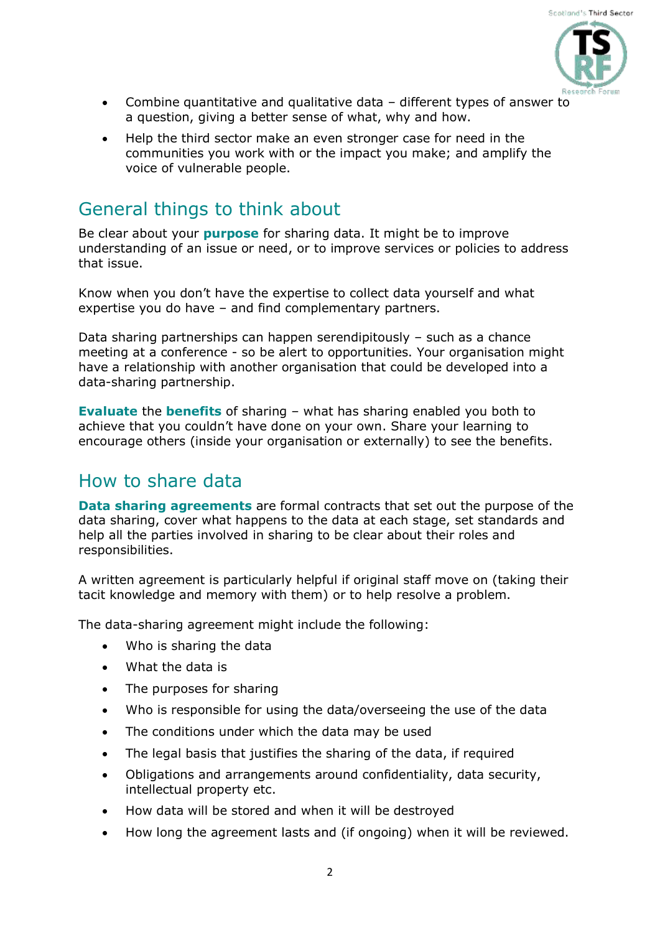

- Combine quantitative and qualitative data different types of answer to a question, giving a better sense of what, why and how.
- Help the third sector make an even stronger case for need in the communities you work with or the impact you make; and amplify the voice of vulnerable people.

## General things to think about

Be clear about your **purpose** for sharing data. It might be to improve understanding of an issue or need, or to improve services or policies to address that issue.

Know when you don't have the expertise to collect data yourself and what expertise you do have – and find complementary partners.

Data sharing partnerships can happen serendipitously – such as a chance meeting at a conference - so be alert to opportunities. Your organisation might have a relationship with another organisation that could be developed into a data-sharing partnership.

**Evaluate** the **benefits** of sharing – what has sharing enabled you both to achieve that you couldn't have done on your own. Share your learning to encourage others (inside your organisation or externally) to see the benefits.

### How to share data

**Data sharing agreements** are formal contracts that set out the purpose of the data sharing, cover what happens to the data at each stage, set standards and help all the parties involved in sharing to be clear about their roles and responsibilities.

A written agreement is particularly helpful if original staff move on (taking their tacit knowledge and memory with them) or to help resolve a problem.

The data-sharing agreement might include the following:

- Who is sharing the data
- What the data is
- The purposes for sharing
- Who is responsible for using the data/overseeing the use of the data
- The conditions under which the data may be used
- The legal basis that justifies the sharing of the data, if required
- Obligations and arrangements around confidentiality, data security, intellectual property etc.
- How data will be stored and when it will be destroyed
- How long the agreement lasts and (if ongoing) when it will be reviewed.